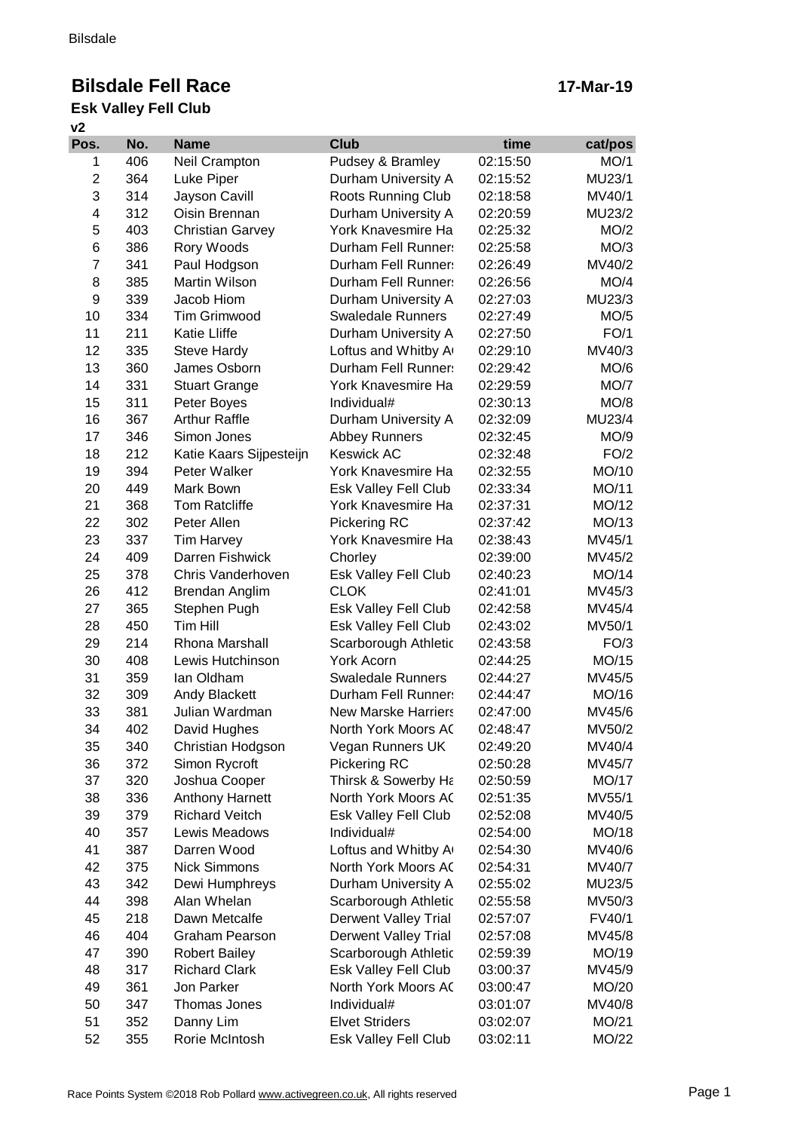# **Bilsdale Fell Race**

### **v2 Esk Valley Fell Club**

| Pos.           | No. | <b>Name</b>             | <b>Club</b>                 | time     | cat/pos |
|----------------|-----|-------------------------|-----------------------------|----------|---------|
| 1              | 406 | Neil Crampton           | Pudsey & Bramley            | 02:15:50 | MO/1    |
| $\overline{2}$ | 364 | Luke Piper              | Durham University A         | 02:15:52 | MU23/1  |
| 3              | 314 | Jayson Cavill           | Roots Running Club          | 02:18:58 | MV40/1  |
| 4              | 312 | Oisin Brennan           | Durham University A         | 02:20:59 | MU23/2  |
| 5              | 403 | <b>Christian Garvey</b> | York Knavesmire Ha          | 02:25:32 | MO/2    |
| 6              | 386 | Rory Woods              | Durham Fell Runner:         | 02:25:58 | MO/3    |
| $\overline{7}$ | 341 | Paul Hodgson            | Durham Fell Runner:         | 02:26:49 | MV40/2  |
| 8              | 385 | Martin Wilson           | Durham Fell Runner:         | 02:26:56 | MO/4    |
| 9              | 339 | Jacob Hiom              | Durham University A         | 02:27:03 | MU23/3  |
| 10             | 334 | <b>Tim Grimwood</b>     | <b>Swaledale Runners</b>    | 02:27:49 | MO/5    |
| 11             | 211 | <b>Katie Lliffe</b>     | Durham University A         | 02:27:50 | FO/1    |
| 12             | 335 | <b>Steve Hardy</b>      | Loftus and Whitby A         | 02:29:10 | MV40/3  |
| 13             | 360 | James Osborn            | Durham Fell Runner:         | 02:29:42 | MO/6    |
| 14             | 331 | <b>Stuart Grange</b>    | York Knavesmire Ha          | 02:29:59 | MO/7    |
| 15             | 311 | Peter Boyes             | Individual#                 | 02:30:13 | MO/8    |
| 16             | 367 | <b>Arthur Raffle</b>    | Durham University A         | 02:32:09 | MU23/4  |
| 17             | 346 | Simon Jones             | <b>Abbey Runners</b>        | 02:32:45 | MO/9    |
| 18             | 212 | Katie Kaars Sijpesteijn | <b>Keswick AC</b>           | 02:32:48 | FO/2    |
| 19             | 394 | Peter Walker            | York Knavesmire Ha          | 02:32:55 | MO/10   |
| 20             | 449 | Mark Bown               | Esk Valley Fell Club        | 02:33:34 | MO/11   |
| 21             | 368 | <b>Tom Ratcliffe</b>    | York Knavesmire Ha          | 02:37:31 | MO/12   |
| 22             | 302 | Peter Allen             | Pickering RC                | 02:37:42 | MO/13   |
| 23             | 337 | <b>Tim Harvey</b>       | York Knavesmire Ha          | 02:38:43 | MV45/1  |
| 24             | 409 | Darren Fishwick         | Chorley                     | 02:39:00 | MV45/2  |
| 25             | 378 | Chris Vanderhoven       | Esk Valley Fell Club        | 02:40:23 | MO/14   |
| 26             | 412 | Brendan Anglim          | <b>CLOK</b>                 | 02:41:01 | MV45/3  |
| 27             | 365 | Stephen Pugh            | Esk Valley Fell Club        | 02:42:58 | MV45/4  |
| 28             | 450 | <b>Tim Hill</b>         | Esk Valley Fell Club        | 02:43:02 | MV50/1  |
| 29             | 214 | Rhona Marshall          | Scarborough Athletic        | 02:43:58 | FO/3    |
| 30             | 408 | Lewis Hutchinson        | <b>York Acorn</b>           | 02:44:25 | MO/15   |
| 31             | 359 | lan Oldham              | <b>Swaledale Runners</b>    | 02:44:27 | MV45/5  |
| 32             | 309 | <b>Andy Blackett</b>    | Durham Fell Runner:         | 02:44:47 | MO/16   |
| 33             | 381 | Julian Wardman          | <b>New Marske Harriers</b>  | 02:47:00 | MV45/6  |
| 34             | 402 | David Hughes            | North York Moors AC         | 02:48:47 | MV50/2  |
| 35             | 340 | Christian Hodgson       | Vegan Runners UK            | 02:49:20 | MV40/4  |
| 36             | 372 | Simon Rycroft           | Pickering RC                | 02:50:28 | MV45/7  |
| 37             | 320 | Joshua Cooper           | Thirsk & Sowerby Ha         | 02:50:59 | MO/17   |
| 38             | 336 | <b>Anthony Harnett</b>  | North York Moors AC         | 02:51:35 | MV55/1  |
| 39             | 379 | <b>Richard Veitch</b>   | Esk Valley Fell Club        | 02:52:08 | MV40/5  |
| 40             | 357 | Lewis Meadows           | Individual#                 | 02:54:00 | MO/18   |
| 41             | 387 | Darren Wood             | Loftus and Whitby A         | 02:54:30 | MV40/6  |
| 42             | 375 | <b>Nick Simmons</b>     | North York Moors AC         |          |         |
| 43             | 342 |                         |                             | 02:54:31 | MV40/7  |
|                |     | Dewi Humphreys          | Durham University A         | 02:55:02 | MU23/5  |
| 44             | 398 | Alan Whelan             | Scarborough Athletic        | 02:55:58 | MV50/3  |
| 45             | 218 | Dawn Metcalfe           | <b>Derwent Valley Trial</b> | 02:57:07 | FV40/1  |
| 46             | 404 | <b>Graham Pearson</b>   | <b>Derwent Valley Trial</b> | 02:57:08 | MV45/8  |
| 47             | 390 | <b>Robert Bailey</b>    | Scarborough Athletic        | 02:59:39 | MO/19   |
| 48             | 317 | <b>Richard Clark</b>    | Esk Valley Fell Club        | 03:00:37 | MV45/9  |
| 49             | 361 | Jon Parker              | North York Moors AC         | 03:00:47 | MO/20   |
| 50             | 347 | Thomas Jones            | Individual#                 | 03:01:07 | MV40/8  |
| 51             | 352 | Danny Lim               | <b>Elvet Striders</b>       | 03:02:07 | MO/21   |
| 52             | 355 | Rorie McIntosh          | Esk Valley Fell Club        | 03:02:11 | MO/22   |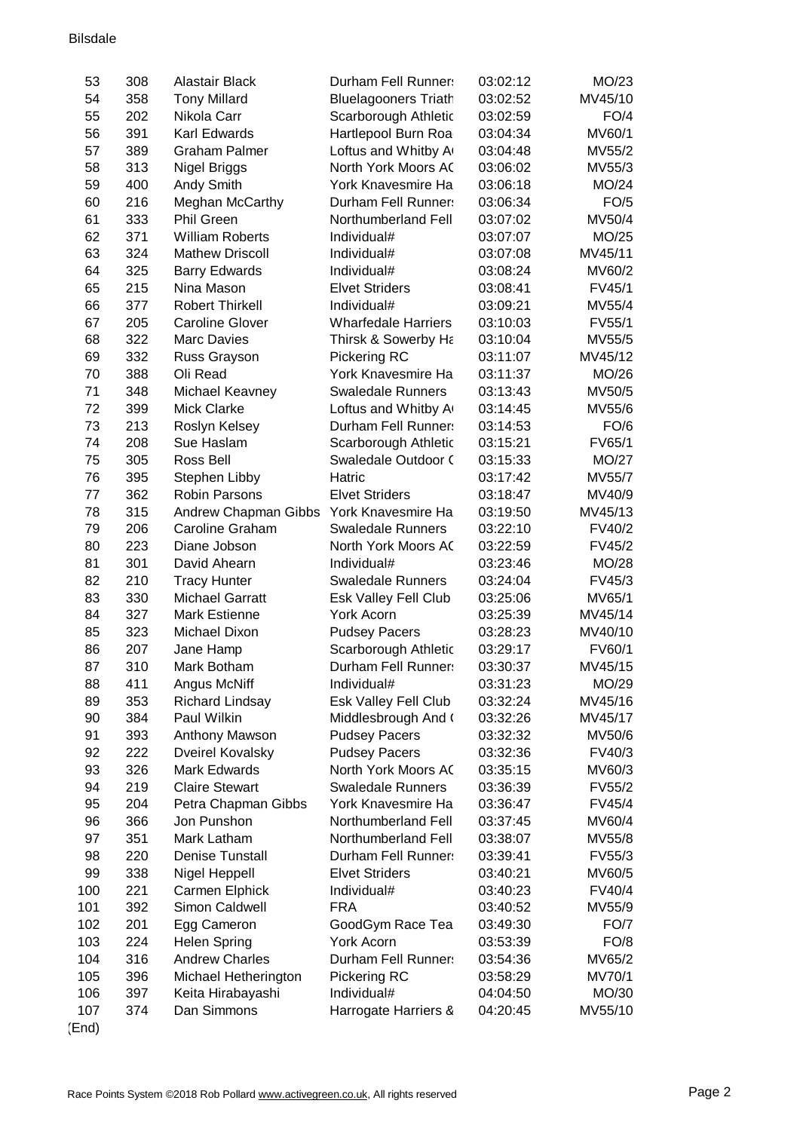#### Bilsdale

| 53       | 308        | Alastair Black                            | Durham Fell Runner:         | 03:02:12             | MO/23            |
|----------|------------|-------------------------------------------|-----------------------------|----------------------|------------------|
| 54       | 358        | <b>Tony Millard</b>                       | <b>Bluelagooners Triath</b> | 03:02:52             | MV45/10          |
| 55       | 202        | Nikola Carr                               | Scarborough Athletic        | 03:02:59             | FO/4             |
| 56       | 391        | Karl Edwards                              | Hartlepool Burn Roa         | 03:04:34             | MV60/1           |
| 57       | 389        | <b>Graham Palmer</b>                      | Loftus and Whitby A         | 03:04:48             | MV55/2           |
| 58       | 313        | <b>Nigel Briggs</b>                       | North York Moors AC         | 03:06:02             | MV55/3           |
| 59       | 400        | Andy Smith                                | York Knavesmire Ha          | 03:06:18             | MO/24            |
| 60       | 216        | Meghan McCarthy                           | Durham Fell Runner:         | 03:06:34             | FO/5             |
| 61       | 333        | <b>Phil Green</b>                         | Northumberland Fell         | 03:07:02             | MV50/4           |
| 62       | 371        | <b>William Roberts</b>                    | Individual#                 | 03:07:07             | MO/25            |
| 63       | 324        | <b>Mathew Driscoll</b>                    | Individual#                 | 03:07:08             | MV45/11          |
| 64       | 325        | <b>Barry Edwards</b>                      | Individual#                 | 03:08:24             | MV60/2           |
| 65       | 215        | Nina Mason                                | <b>Elvet Striders</b>       | 03:08:41             | FV45/1           |
| 66       | 377        | <b>Robert Thirkell</b>                    | Individual#                 | 03:09:21             | MV55/4           |
| 67       | 205        | <b>Caroline Glover</b>                    | <b>Wharfedale Harriers</b>  | 03:10:03             | FV55/1           |
| 68       | 322        | <b>Marc Davies</b>                        | Thirsk & Sowerby Ha         | 03:10:04             | MV55/5           |
| 69       | 332        | Russ Grayson                              | Pickering RC                | 03:11:07             | MV45/12          |
| 70       | 388        | Oli Read                                  | York Knavesmire Ha          | 03:11:37             | MO/26            |
| 71       | 348        | Michael Keavney                           | <b>Swaledale Runners</b>    | 03:13:43             | MV50/5           |
| 72       | 399        | <b>Mick Clarke</b>                        | Loftus and Whitby A         | 03:14:45             | MV55/6           |
| 73       | 213        | Roslyn Kelsey                             | Durham Fell Runner:         | 03:14:53             | FO/6             |
| 74       | 208        | Sue Haslam                                | Scarborough Athletic        | 03:15:21             | FV65/1           |
| 75       | 305        | Ross Bell                                 | Swaledale Outdoor (         | 03:15:33             | MO/27            |
| 76       | 395        | Stephen Libby                             | Hatric                      | 03:17:42             | MV55/7           |
| 77       | 362        | <b>Robin Parsons</b>                      | <b>Elvet Striders</b>       | 03:18:47             | MV40/9           |
| 78       | 315        | Andrew Chapman Gibbs                      | York Knavesmire Ha          | 03:19:50             | MV45/13          |
| 79       | 206        | Caroline Graham                           | <b>Swaledale Runners</b>    | 03:22:10             | FV40/2           |
| 80       | 223        | Diane Jobson                              | North York Moors AC         | 03:22:59             | FV45/2           |
| 81       | 301        | David Ahearn                              | Individual#                 | 03:23:46             | MO/28            |
| 82       | 210        | <b>Tracy Hunter</b>                       | <b>Swaledale Runners</b>    | 03:24:04             | FV45/3           |
| 83       | 330        | <b>Michael Garratt</b>                    | Esk Valley Fell Club        | 03:25:06             | MV65/1           |
| 84       | 327        | <b>Mark Estienne</b>                      | <b>York Acorn</b>           | 03:25:39             | MV45/14          |
| 85       | 323        | Michael Dixon                             | <b>Pudsey Pacers</b>        | 03:28:23             | MV40/10          |
| 86       | 207        | Jane Hamp                                 | Scarborough Athletic        | 03:29:17             | FV60/1           |
| 87       | 310        | Mark Botham                               | Durham Fell Runner:         | 03:30:37             | MV45/15          |
| 88       | 411        | Angus McNiff                              | Individual#                 | 03:31:23             | MO/29            |
| 89       | 353        | <b>Richard Lindsay</b>                    | Esk Valley Fell Club        | 03:32:24             | MV45/16          |
| 90       | 384        | Paul Wilkin                               | Middlesbrough And (         | 03:32:26             | MV45/17          |
| 91       | 393        |                                           | <b>Pudsey Pacers</b>        | 03:32:32             | MV50/6           |
| 92       | 222        | Anthony Mawson<br><b>Dveirel Kovalsky</b> | <b>Pudsey Pacers</b>        | 03:32:36             | FV40/3           |
| 93       | 326        | <b>Mark Edwards</b>                       | North York Moors AC         | 03:35:15             | MV60/3           |
| 94       | 219        | <b>Claire Stewart</b>                     | <b>Swaledale Runners</b>    |                      | FV55/2           |
| 95       | 204        |                                           | York Knavesmire Ha          | 03:36:39<br>03:36:47 | FV45/4           |
|          |            | Petra Chapman Gibbs<br>Jon Punshon        | Northumberland Fell         |                      |                  |
| 96<br>97 | 366<br>351 | Mark Latham                               | Northumberland Fell         | 03:37:45             | MV60/4<br>MV55/8 |
|          | 220        | <b>Denise Tunstall</b>                    | Durham Fell Runner:         | 03:38:07             |                  |
| 98       |            |                                           |                             | 03:39:41             | FV55/3           |
| 99       | 338        | Nigel Heppell                             | <b>Elvet Striders</b>       | 03:40:21             | MV60/5           |
| 100      | 221        | Carmen Elphick                            | Individual#                 | 03:40:23             | FV40/4           |
| 101      | 392        | Simon Caldwell                            | <b>FRA</b>                  | 03:40:52             | MV55/9           |
| 102      | 201        | Egg Cameron                               | GoodGym Race Tea            | 03:49:30             | <b>FO/7</b>      |
| 103      | 224        | <b>Helen Spring</b>                       | York Acorn                  | 03:53:39             | FO/8             |
| 104      | 316        | <b>Andrew Charles</b>                     | Durham Fell Runner:         | 03:54:36             | MV65/2           |
| 105      | 396        | Michael Hetherington                      | Pickering RC                | 03:58:29             | MV70/1           |
| 106      | 397        | Keita Hirabayashi                         | Individual#                 | 04:04:50             | MO/30            |
| 107      | 374        | Dan Simmons                               | Harrogate Harriers &        | 04:20:45             | MV55/10          |
| (End)    |            |                                           |                             |                      |                  |